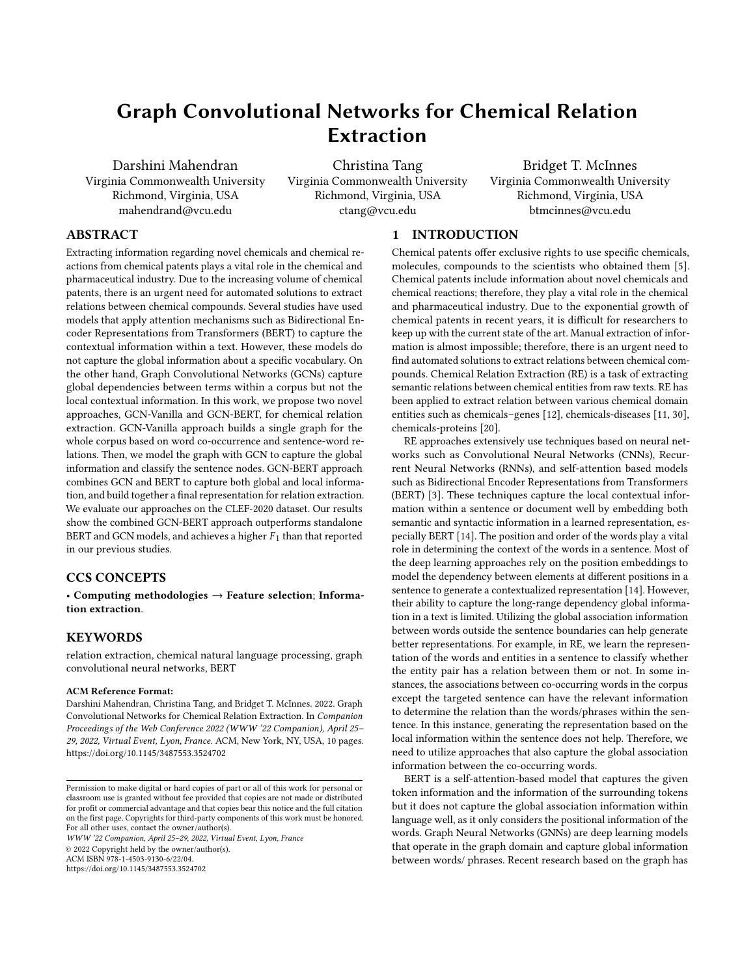# Graph Convolutional Networks for Chemical Relation Extraction

Darshini Mahendran Virginia Commonwealth University Richmond, Virginia, USA mahendrand@vcu.edu

Christina Tang Virginia Commonwealth University Richmond, Virginia, USA ctang@vcu.edu

Bridget T. McInnes Virginia Commonwealth University Richmond, Virginia, USA btmcinnes@vcu.edu

# ABSTRACT

Extracting information regarding novel chemicals and chemical reactions from chemical patents plays a vital role in the chemical and pharmaceutical industry. Due to the increasing volume of chemical patents, there is an urgent need for automated solutions to extract relations between chemical compounds. Several studies have used models that apply attention mechanisms such as Bidirectional Encoder Representations from Transformers (BERT) to capture the contextual information within a text. However, these models do not capture the global information about a specific vocabulary. On the other hand, Graph Convolutional Networks (GCNs) capture global dependencies between terms within a corpus but not the local contextual information. In this work, we propose two novel approaches, GCN-Vanilla and GCN-BERT, for chemical relation extraction. GCN-Vanilla approach builds a single graph for the whole corpus based on word co-occurrence and sentence-word relations. Then, we model the graph with GCN to capture the global information and classify the sentence nodes. GCN-BERT approach combines GCN and BERT to capture both global and local information, and build together a final representation for relation extraction. We evaluate our approaches on the CLEF-2020 dataset. Our results show the combined GCN-BERT approach outperforms standalone BERT and GCN models, and achieves a higher  $F_1$  than that reported in our previous studies.

# CCS CONCEPTS

• Computing methodologies  $\rightarrow$  Feature selection; Information extraction.

# **KEYWORDS**

relation extraction, chemical natural language processing, graph convolutional neural networks, BERT

#### ACM Reference Format:

Darshini Mahendran, Christina Tang, and Bridget T. McInnes. 2022. Graph Convolutional Networks for Chemical Relation Extraction. In Companion Proceedings of the Web Conference 2022 (WWW '22 Companion), April 25– 29, 2022, Virtual Event, Lyon, France. ACM, New York, NY, USA, [10](#page-9-0) pages. <https://doi.org/10.1145/3487553.3524702>

WWW '22 Companion, April 25–29, 2022, Virtual Event, Lyon, France © 2022 Copyright held by the owner/author(s). ACM ISBN 978-1-4503-9130-6/22/04.

<https://doi.org/10.1145/3487553.3524702>

# 1 INTRODUCTION

Chemical patents offer exclusive rights to use specific chemicals, molecules, compounds to the scientists who obtained them [\[5\]](#page-7-0). Chemical patents include information about novel chemicals and chemical reactions; therefore, they play a vital role in the chemical and pharmaceutical industry. Due to the exponential growth of chemical patents in recent years, it is difficult for researchers to keep up with the current state of the art. Manual extraction of information is almost impossible; therefore, there is an urgent need to find automated solutions to extract relations between chemical compounds. Chemical Relation Extraction (RE) is a task of extracting semantic relations between chemical entities from raw texts. RE has been applied to extract relation between various chemical domain entities such as chemicals–genes [\[12\]](#page-8-0), chemicals-diseases [\[11,](#page-8-1) [30\]](#page-8-2), chemicals-proteins [\[20\]](#page-8-3).

RE approaches extensively use techniques based on neural networks such as Convolutional Neural Networks (CNNs), Recurrent Neural Networks (RNNs), and self-attention based models such as Bidirectional Encoder Representations from Transformers (BERT) [\[3\]](#page-7-1). These techniques capture the local contextual information within a sentence or document well by embedding both semantic and syntactic information in a learned representation, especially BERT [\[14\]](#page-8-4). The position and order of the words play a vital role in determining the context of the words in a sentence. Most of the deep learning approaches rely on the position embeddings to model the dependency between elements at different positions in a sentence to generate a contextualized representation [\[14\]](#page-8-4). However, their ability to capture the long-range dependency global information in a text is limited. Utilizing the global association information between words outside the sentence boundaries can help generate better representations. For example, in RE, we learn the representation of the words and entities in a sentence to classify whether the entity pair has a relation between them or not. In some instances, the associations between co-occurring words in the corpus except the targeted sentence can have the relevant information to determine the relation than the words/phrases within the sentence. In this instance, generating the representation based on the local information within the sentence does not help. Therefore, we need to utilize approaches that also capture the global association information between the co-occurring words.

BERT is a self-attention-based model that captures the given token information and the information of the surrounding tokens but it does not capture the global association information within language well, as it only considers the positional information of the words. Graph Neural Networks (GNNs) are deep learning models that operate in the graph domain and capture global information between words/ phrases. Recent research based on the graph has

Permission to make digital or hard copies of part or all of this work for personal or classroom use is granted without fee provided that copies are not made or distributed for profit or commercial advantage and that copies bear this notice and the full citation on the first page. Copyrights for third-party components of this work must be honored. For all other uses, contact the owner/author(s).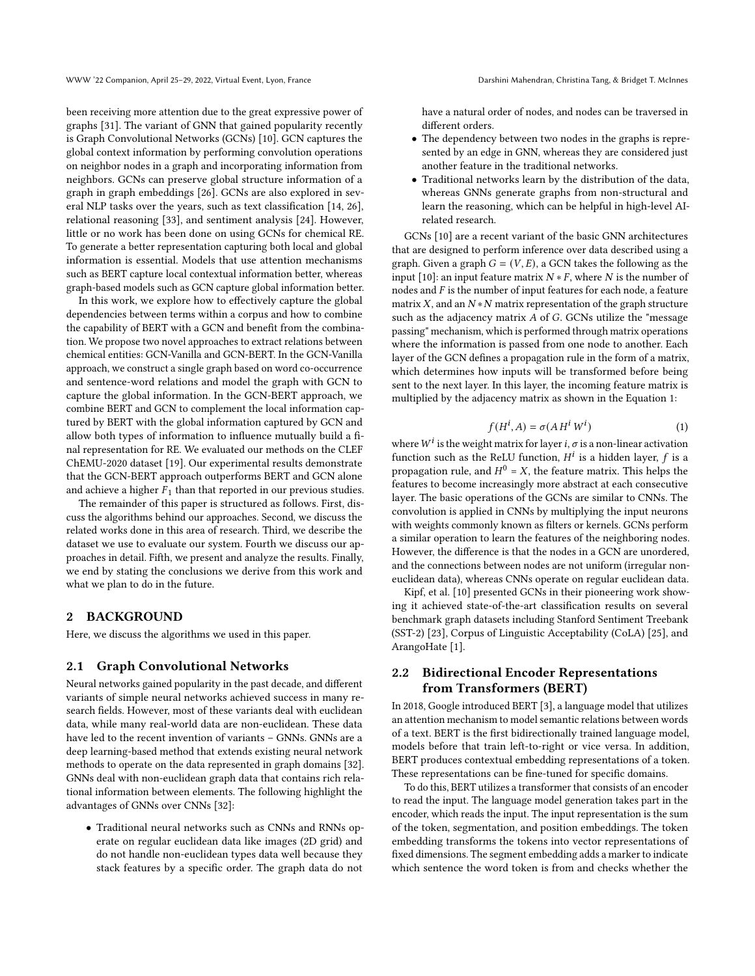been receiving more attention due to the great expressive power of graphs [\[31\]](#page-8-5). The variant of GNN that gained popularity recently is Graph Convolutional Networks (GCNs) [\[10\]](#page-8-6). GCN captures the global context information by performing convolution operations on neighbor nodes in a graph and incorporating information from neighbors. GCNs can preserve global structure information of a graph in graph embeddings [\[26\]](#page-8-7). GCNs are also explored in several NLP tasks over the years, such as text classification [\[14,](#page-8-4) [26\]](#page-8-7), relational reasoning [\[33\]](#page-8-8), and sentiment analysis [\[24\]](#page-8-9). However, little or no work has been done on using GCNs for chemical RE. To generate a better representation capturing both local and global information is essential. Models that use attention mechanisms such as BERT capture local contextual information better, whereas graph-based models such as GCN capture global information better.

In this work, we explore how to effectively capture the global dependencies between terms within a corpus and how to combine the capability of BERT with a GCN and benefit from the combination. We propose two novel approaches to extract relations between chemical entities: GCN-Vanilla and GCN-BERT. In the GCN-Vanilla approach, we construct a single graph based on word co-occurrence and sentence-word relations and model the graph with GCN to capture the global information. In the GCN-BERT approach, we combine BERT and GCN to complement the local information captured by BERT with the global information captured by GCN and allow both types of information to influence mutually build a final representation for RE. We evaluated our methods on the CLEF ChEMU-2020 dataset [\[19\]](#page-8-10). Our experimental results demonstrate that the GCN-BERT approach outperforms BERT and GCN alone and achieve a higher  $F_1$  than that reported in our previous studies.

The remainder of this paper is structured as follows. First, discuss the algorithms behind our approaches. Second, we discuss the related works done in this area of research. Third, we describe the dataset we use to evaluate our system. Fourth we discuss our approaches in detail. Fifth, we present and analyze the results. Finally, we end by stating the conclusions we derive from this work and what we plan to do in the future.

# 2 BACKGROUND

Here, we discuss the algorithms we used in this paper.

#### 2.1 Graph Convolutional Networks

Neural networks gained popularity in the past decade, and different variants of simple neural networks achieved success in many research fields. However, most of these variants deal with euclidean data, while many real-world data are non-euclidean. These data have led to the recent invention of variants – GNNs. GNNs are a deep learning-based method that extends existing neural network methods to operate on the data represented in graph domains [\[32\]](#page-8-11). GNNs deal with non-euclidean graph data that contains rich relational information between elements. The following highlight the advantages of GNNs over CNNs [\[32\]](#page-8-11):

• Traditional neural networks such as CNNs and RNNs operate on regular euclidean data like images (2D grid) and do not handle non-euclidean types data well because they stack features by a specific order. The graph data do not

have a natural order of nodes, and nodes can be traversed in different orders.

- The dependency between two nodes in the graphs is represented by an edge in GNN, whereas they are considered just another feature in the traditional networks.
- Traditional networks learn by the distribution of the data, whereas GNNs generate graphs from non-structural and learn the reasoning, which can be helpful in high-level AIrelated research.

GCNs [\[10\]](#page-8-6) are a recent variant of the basic GNN architectures that are designed to perform inference over data described using a graph. Given a graph  $G = (V, E)$ , a GCN takes the following as the input [\[10\]](#page-8-6): an input feature matrix  $N * F$ , where N is the number of nodes and  $F$  is the number of input features for each node, a feature matrix  $X$ , and an  $N*N$  matrix representation of the graph structure such as the adjacency matrix  $A$  of  $G$ . GCNs utilize the "message passing" mechanism, which is performed through matrix operations where the information is passed from one node to another. Each layer of the GCN defines a propagation rule in the form of a matrix, which determines how inputs will be transformed before being sent to the next layer. In this layer, the incoming feature matrix is multiplied by the adjacency matrix as shown in the Equation [1:](#page-1-0)

<span id="page-1-0"></span>
$$
f(H^i, A) = \sigma(A H^i W^i)
$$
 (1)

where  $W^i$  is the weight matrix for layer *i*,  $\sigma$  is a non-linear activation function such as the ReLU function,  $H^i$  is a hidden layer, f is a propagation rule, and  $H^0 = X$ , the feature matrix. This helps the features to become increasingly more abstract at each consecutive layer. The basic operations of the GCNs are similar to CNNs. The convolution is applied in CNNs by multiplying the input neurons with weights commonly known as filters or kernels. GCNs perform a similar operation to learn the features of the neighboring nodes. However, the difference is that the nodes in a GCN are unordered, and the connections between nodes are not uniform (irregular noneuclidean data), whereas CNNs operate on regular euclidean data.

Kipf, et al. [\[10\]](#page-8-6) presented GCNs in their pioneering work showing it achieved state-of-the-art classification results on several benchmark graph datasets including Stanford Sentiment Treebank (SST-2) [\[23\]](#page-8-12), Corpus of Linguistic Acceptability (CoLA) [\[25\]](#page-8-13), and ArangoHate [\[1\]](#page-7-2).

# 2.2 Bidirectional Encoder Representations from Transformers (BERT)

In 2018, Google introduced BERT [\[3\]](#page-7-1), a language model that utilizes an attention mechanism to model semantic relations between words of a text. BERT is the first bidirectionally trained language model, models before that train left-to-right or vice versa. In addition, BERT produces contextual embedding representations of a token. These representations can be fine-tuned for specific domains.

To do this, BERT utilizes a transformer that consists of an encoder to read the input. The language model generation takes part in the encoder, which reads the input. The input representation is the sum of the token, segmentation, and position embeddings. The token embedding transforms the tokens into vector representations of fixed dimensions. The segment embedding adds a marker to indicate which sentence the word token is from and checks whether the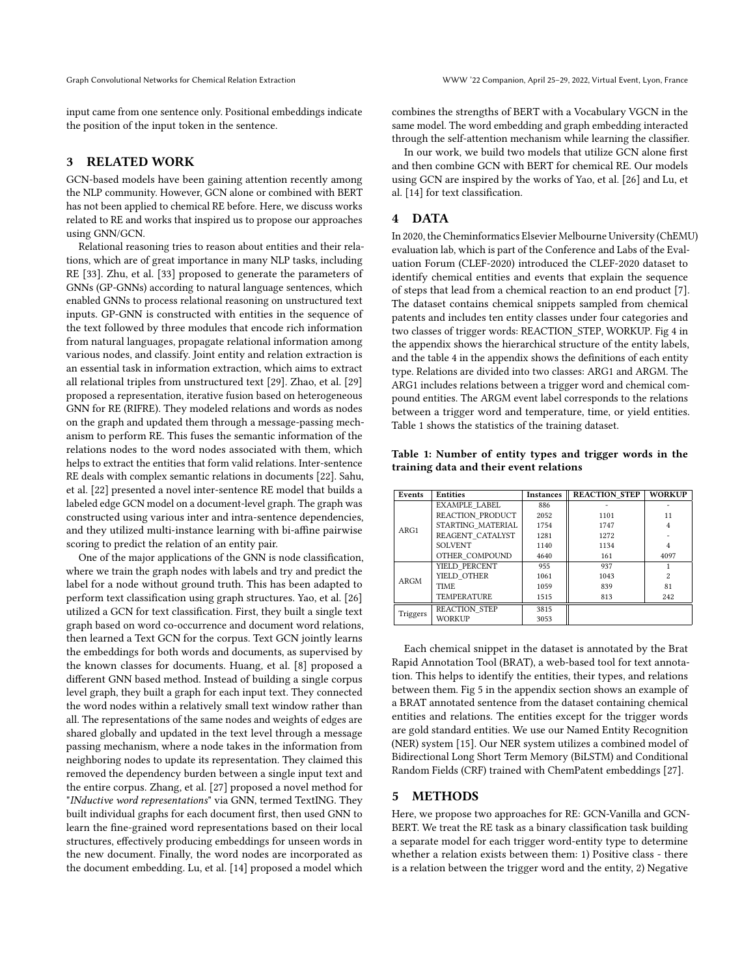input came from one sentence only. Positional embeddings indicate the position of the input token in the sentence.

# 3 RELATED WORK

GCN-based models have been gaining attention recently among the NLP community. However, GCN alone or combined with BERT has not been applied to chemical RE before. Here, we discuss works related to RE and works that inspired us to propose our approaches using GNN/GCN.

Relational reasoning tries to reason about entities and their relations, which are of great importance in many NLP tasks, including RE [\[33\]](#page-8-8). Zhu, et al. [\[33\]](#page-8-8) proposed to generate the parameters of GNNs (GP-GNNs) according to natural language sentences, which enabled GNNs to process relational reasoning on unstructured text inputs. GP-GNN is constructed with entities in the sequence of the text followed by three modules that encode rich information from natural languages, propagate relational information among various nodes, and classify. Joint entity and relation extraction is an essential task in information extraction, which aims to extract all relational triples from unstructured text [\[29\]](#page-8-14). Zhao, et al. [\[29\]](#page-8-14) proposed a representation, iterative fusion based on heterogeneous GNN for RE (RIFRE). They modeled relations and words as nodes on the graph and updated them through a message-passing mechanism to perform RE. This fuses the semantic information of the relations nodes to the word nodes associated with them, which helps to extract the entities that form valid relations. Inter-sentence RE deals with complex semantic relations in documents [\[22\]](#page-8-15). Sahu, et al. [\[22\]](#page-8-15) presented a novel inter-sentence RE model that builds a labeled edge GCN model on a document-level graph. The graph was constructed using various inter and intra-sentence dependencies, and they utilized multi-instance learning with bi-affine pairwise scoring to predict the relation of an entity pair.

One of the major applications of the GNN is node classification, where we train the graph nodes with labels and try and predict the label for a node without ground truth. This has been adapted to perform text classification using graph structures. Yao, et al. [\[26\]](#page-8-7) utilized a GCN for text classification. First, they built a single text graph based on word co-occurrence and document word relations, then learned a Text GCN for the corpus. Text GCN jointly learns the embeddings for both words and documents, as supervised by the known classes for documents. Huang, et al. [\[8\]](#page-8-16) proposed a different GNN based method. Instead of building a single corpus level graph, they built a graph for each input text. They connected the word nodes within a relatively small text window rather than all. The representations of the same nodes and weights of edges are shared globally and updated in the text level through a message passing mechanism, where a node takes in the information from neighboring nodes to update its representation. They claimed this removed the dependency burden between a single input text and the entire corpus. Zhang, et al. [\[27\]](#page-8-17) proposed a novel method for "INductive word representations" via GNN, termed TextING. They built individual graphs for each document first, then used GNN to learn the fine-grained word representations based on their local structures, effectively producing embeddings for unseen words in the new document. Finally, the word nodes are incorporated as the document embedding. Lu, et al. [\[14\]](#page-8-4) proposed a model which

combines the strengths of BERT with a Vocabulary VGCN in the same model. The word embedding and graph embedding interacted through the self-attention mechanism while learning the classifier.

In our work, we build two models that utilize GCN alone first and then combine GCN with BERT for chemical RE. Our models using GCN are inspired by the works of Yao, et al. [\[26\]](#page-8-7) and Lu, et al. [\[14\]](#page-8-4) for text classification.

# 4 DATA

In 2020, the Cheminformatics Elsevier Melbourne University (ChEMU) evaluation lab, which is part of the Conference and Labs of the Evaluation Forum (CLEF-2020) introduced the CLEF-2020 dataset to identify chemical entities and events that explain the sequence of steps that lead from a chemical reaction to an end product [\[7\]](#page-8-18). The dataset contains chemical snippets sampled from chemical patents and includes ten entity classes under four categories and two classes of trigger words: REACTION\_STEP, WORKUP. Fig [4](#page-8-19) in the appendix shows the hierarchical structure of the entity labels, and the table [4](#page-9-1) in the appendix shows the definitions of each entity type. Relations are divided into two classes: ARG1 and ARGM. The ARG1 includes relations between a trigger word and chemical compound entities. The ARGM event label corresponds to the relations between a trigger word and temperature, time, or yield entities. Table [1](#page-2-0) shows the statistics of the training dataset.

<span id="page-2-0"></span>Table 1: Number of entity types and trigger words in the training data and their event relations

| Events   | <b>Entities</b>      | <b>Instances</b> | <b>REACTION STEP</b> | <b>WORKUP</b>  |  |
|----------|----------------------|------------------|----------------------|----------------|--|
| ARG1     | EXAMPLE LABEL        | 886              |                      |                |  |
|          | REACTION PRODUCT     | 2052             | 1101                 | 11             |  |
|          | STARTING MATERIAL    | 1754             | 1747                 | $\overline{4}$ |  |
|          | REAGENT CATALYST     | 1281             | 1272                 |                |  |
|          | <b>SOLVENT</b>       | 1140             | 1134                 | 4              |  |
|          | OTHER COMPOUND       | 4640             | 161                  | 4097           |  |
|          | YIELD PERCENT        | 955              | 937                  |                |  |
| ARGM     | YIELD OTHER          | 1061             | 1043                 | $\mathfrak{D}$ |  |
|          | <b>TIME</b>          | 1059             | 839                  | 81             |  |
|          | <b>TEMPERATURE</b>   | 1515             | 813                  | 242            |  |
|          | <b>REACTION STEP</b> | 3815             |                      |                |  |
| Triggers | <b>WORKUP</b>        | 3053             |                      |                |  |

Each chemical snippet in the dataset is annotated by the Brat Rapid Annotation Tool (BRAT), a web-based tool for text annotation. This helps to identify the entities, their types, and relations between them. Fig [5](#page-9-2) in the appendix section shows an example of a BRAT annotated sentence from the dataset containing chemical entities and relations. The entities except for the trigger words are gold standard entities. We use our Named Entity Recognition (NER) system [\[15\]](#page-8-20). Our NER system utilizes a combined model of Bidirectional Long Short Term Memory (BiLSTM) and Conditional Random Fields (CRF) trained with ChemPatent embeddings [\[27\]](#page-8-17).

#### 5 METHODS

Here, we propose two approaches for RE: GCN-Vanilla and GCN-BERT. We treat the RE task as a binary classification task building a separate model for each trigger word-entity type to determine whether a relation exists between them: 1) Positive class - there is a relation between the trigger word and the entity, 2) Negative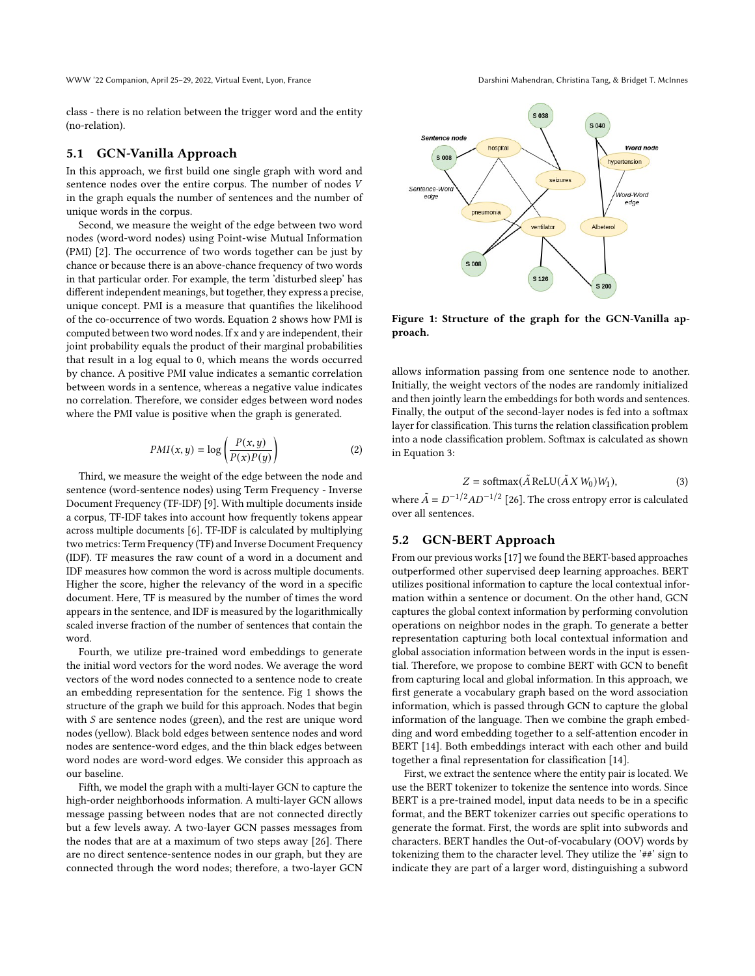WWW '22 Companion, April 25–29, 2022, Virtual Event, Lyon, France Darshini Mahendran, Christina Tang, & Bridget T. McInnes

class - there is no relation between the trigger word and the entity (no-relation).

#### 5.1 GCN-Vanilla Approach

In this approach, we first build one single graph with word and sentence nodes over the entire corpus. The number of nodes V in the graph equals the number of sentences and the number of unique words in the corpus.

Second, we measure the weight of the edge between two word nodes (word-word nodes) using Point-wise Mutual Information (PMI) [\[2\]](#page-7-3). The occurrence of two words together can be just by chance or because there is an above-chance frequency of two words in that particular order. For example, the term 'disturbed sleep' has different independent meanings, but together, they express a precise, unique concept. PMI is a measure that quantifies the likelihood of the co-occurrence of two words. Equation [2](#page-3-0) shows how PMI is computed between two word nodes. If x and y are independent, their joint probability equals the product of their marginal probabilities that result in a log equal to 0, which means the words occurred by chance. A positive PMI value indicates a semantic correlation between words in a sentence, whereas a negative value indicates no correlation. Therefore, we consider edges between word nodes where the PMI value is positive when the graph is generated.

<span id="page-3-0"></span>
$$
PMI(x, y) = \log\left(\frac{P(x, y)}{P(x)P(y)}\right)
$$
 (2)

Third, we measure the weight of the edge between the node and sentence (word-sentence nodes) using Term Frequency - Inverse Document Frequency (TF-IDF) [\[9\]](#page-8-21). With multiple documents inside a corpus, TF-IDF takes into account how frequently tokens appear across multiple documents [\[6\]](#page-8-22). TF-IDF is calculated by multiplying two metrics: Term Frequency (TF) and Inverse Document Frequency (IDF). TF measures the raw count of a word in a document and IDF measures how common the word is across multiple documents. Higher the score, higher the relevancy of the word in a specific document. Here, TF is measured by the number of times the word appears in the sentence, and IDF is measured by the logarithmically scaled inverse fraction of the number of sentences that contain the word.

Fourth, we utilize pre-trained word embeddings to generate the initial word vectors for the word nodes. We average the word vectors of the word nodes connected to a sentence node to create an embedding representation for the sentence. Fig [1](#page-3-1) shows the structure of the graph we build for this approach. Nodes that begin with  $S$  are sentence nodes (green), and the rest are unique word nodes (yellow). Black bold edges between sentence nodes and word nodes are sentence-word edges, and the thin black edges between word nodes are word-word edges. We consider this approach as our baseline.

Fifth, we model the graph with a multi-layer GCN to capture the high-order neighborhoods information. A multi-layer GCN allows message passing between nodes that are not connected directly but a few levels away. A two-layer GCN passes messages from the nodes that are at a maximum of two steps away [\[26\]](#page-8-7). There are no direct sentence-sentence nodes in our graph, but they are connected through the word nodes; therefore, a two-layer GCN

<span id="page-3-1"></span>

Figure 1: Structure of the graph for the GCN-Vanilla approach.

allows information passing from one sentence node to another. Initially, the weight vectors of the nodes are randomly initialized and then jointly learn the embeddings for both words and sentences. Finally, the output of the second-layer nodes is fed into a softmax layer for classification. This turns the relation classification problem into a node classification problem. Softmax is calculated as shown in Equation [3:](#page-3-2)

<span id="page-3-2"></span>
$$
Z = \text{softmax}(\tilde{A} \text{ReLU}(\tilde{A} X W_0) W_1), \tag{3}
$$

where  $\tilde{A} = D^{-1/2}AD^{-1/2}$  [\[26\]](#page-8-7). The cross entropy error is calculated over all sentences.

### 5.2 GCN-BERT Approach

From our previous works [\[17\]](#page-8-23) we found the BERT-based approaches outperformed other supervised deep learning approaches. BERT utilizes positional information to capture the local contextual information within a sentence or document. On the other hand, GCN captures the global context information by performing convolution operations on neighbor nodes in the graph. To generate a better representation capturing both local contextual information and global association information between words in the input is essential. Therefore, we propose to combine BERT with GCN to benefit from capturing local and global information. In this approach, we first generate a vocabulary graph based on the word association information, which is passed through GCN to capture the global information of the language. Then we combine the graph embedding and word embedding together to a self-attention encoder in BERT [\[14\]](#page-8-4). Both embeddings interact with each other and build together a final representation for classification [\[14\]](#page-8-4).

First, we extract the sentence where the entity pair is located. We use the BERT tokenizer to tokenize the sentence into words. Since BERT is a pre-trained model, input data needs to be in a specific format, and the BERT tokenizer carries out specific operations to generate the format. First, the words are split into subwords and characters. BERT handles the Out-of-vocabulary (OOV) words by tokenizing them to the character level. They utilize the '##' sign to indicate they are part of a larger word, distinguishing a subword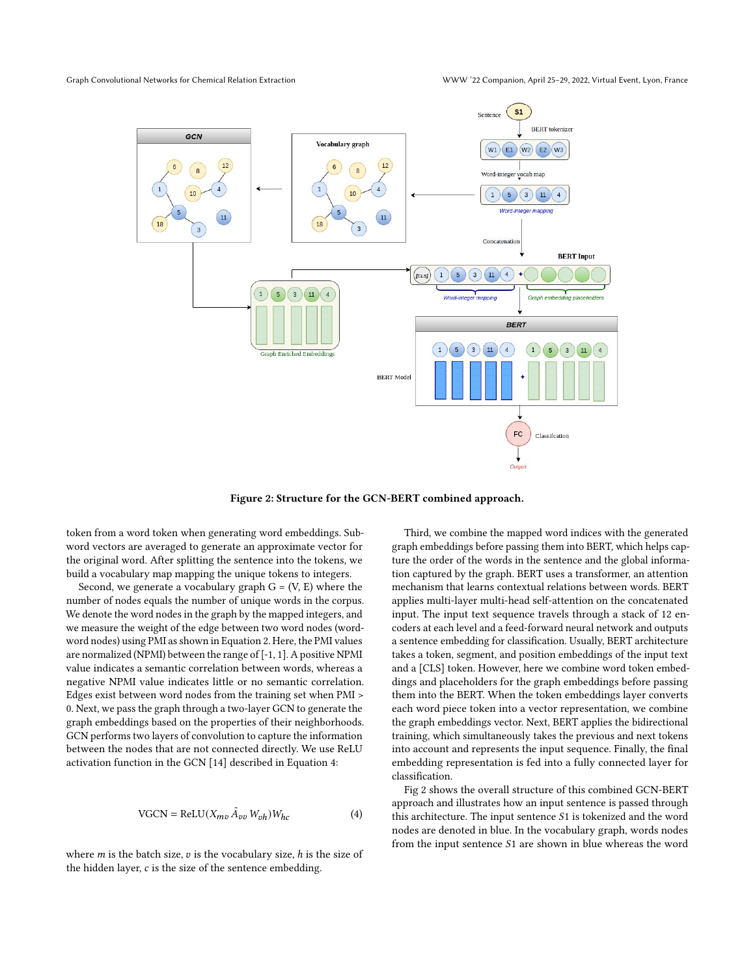<span id="page-4-1"></span>Graph Convolutional Networks for Chemical Relation Extraction WWW '22 Companion, April 25–29, 2022, Virtual Event, Lyon, France



Figure 2: Structure for the GCN-BERT combined approach.

token from a word token when generating word embeddings. Subword vectors are averaged to generate an approximate vector for the original word. After splitting the sentence into the tokens, we build a vocabulary map mapping the unique tokens to integers.

Second, we generate a vocabulary graph  $G = (V, E)$  where the number of nodes equals the number of unique words in the corpus. We denote the word nodes in the graph by the mapped integers, and we measure the weight of the edge between two word nodes (wordword nodes) using PMI as shown in Equation [2.](#page-3-0) Here, the PMI values are normalized (NPMI) between the range of [-1, 1]. A positive NPMI value indicates a semantic correlation between words, whereas a negative NPMI value indicates little or no semantic correlation. Edges exist between word nodes from the training set when PMI > 0. Next, we pass the graph through a two-layer GCN to generate the graph embeddings based on the properties of their neighborhoods. GCN performs two layers of convolution to capture the information between the nodes that are not connected directly. We use ReLU activation function in the GCN [\[14\]](#page-8-4) described in Equation [4:](#page-4-0)

<span id="page-4-0"></span>
$$
VGCN = ReLU(X_{mv}\tilde{A}_{vv}W_{vh})W_{hc}
$$
 (4)

where  $m$  is the batch size,  $v$  is the vocabulary size,  $h$  is the size of the hidden layer,  $c$  is the size of the sentence embedding.

Third, we combine the mapped word indices with the generated graph embeddings before passing them into BERT, which helps capture the order of the words in the sentence and the global information captured by the graph. BERT uses a transformer, an attention mechanism that learns contextual relations between words. BERT applies multi-layer multi-head self-attention on the concatenated input. The input text sequence travels through a stack of 12 encoders at each level and a feed-forward neural network and outputs a sentence embedding for classification. Usually, BERT architecture takes a token, segment, and position embeddings of the input text and a [CLS] token. However, here we combine word token embeddings and placeholders for the graph embeddings before passing them into the BERT. When the token embeddings layer converts each word piece token into a vector representation, we combine the graph embeddings vector. Next, BERT applies the bidirectional training, which simultaneously takes the previous and next tokens into account and represents the input sequence. Finally, the final embedding representation is fed into a fully connected layer for classification.

Fig [2](#page-4-1) shows the overall structure of this combined GCN-BERT approach and illustrates how an input sentence is passed through this architecture. The input sentence  $S1$  is tokenized and the word nodes are denoted in blue. In the vocabulary graph, words nodes from the input sentence  $S1$  are shown in blue whereas the word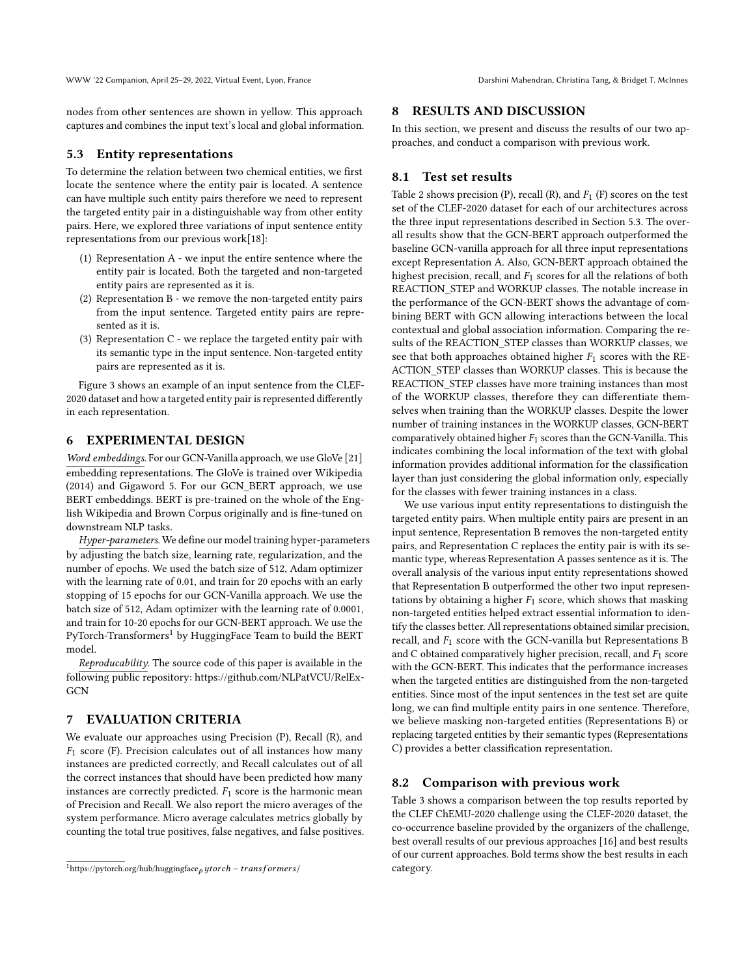nodes from other sentences are shown in yellow. This approach captures and combines the input text's local and global information.

#### <span id="page-5-1"></span>5.3 Entity representations

To determine the relation between two chemical entities, we first locate the sentence where the entity pair is located. A sentence can have multiple such entity pairs therefore we need to represent the targeted entity pair in a distinguishable way from other entity pairs. Here, we explored three variations of input sentence entity representations from our previous work[\[18\]](#page-8-24):

- (1) Representation A we input the entire sentence where the entity pair is located. Both the targeted and non-targeted entity pairs are represented as it is.
- (2) Representation B we remove the non-targeted entity pairs from the input sentence. Targeted entity pairs are represented as it is.
- (3) Representation C we replace the targeted entity pair with its semantic type in the input sentence. Non-targeted entity pairs are represented as it is.

Figure [3](#page-7-4) shows an example of an input sentence from the CLEF-2020 dataset and how a targeted entity pair is represented differently in each representation.

# 6 EXPERIMENTAL DESIGN

Word embeddings. For our GCN-Vanilla approach, we use GloVe [\[21\]](#page-8-25) embedding representations. The GloVe is trained over Wikipedia (2014) and Gigaword 5. For our GCN\_BERT approach, we use BERT embeddings. BERT is pre-trained on the whole of the English Wikipedia and Brown Corpus originally and is fine-tuned on downstream NLP tasks.

Hyper-parameters. We define our model training hyper-parameters by adjusting the batch size, learning rate, regularization, and the number of epochs. We used the batch size of 512, Adam optimizer with the learning rate of 0.01, and train for 20 epochs with an early stopping of 15 epochs for our GCN-Vanilla approach. We use the batch size of 512, Adam optimizer with the learning rate of 0.0001, and train for 10-20 epochs for our GCN-BERT approach. We use the PyTorch-Transformers<sup>[1](#page-5-0)</sup> by HuggingFace Team to build the BERT model.

Reproducability. The source code of this paper is available in the following public repository: https://github.com/NLPatVCU/RelEx-**GCN** 

# 7 EVALUATION CRITERIA

We evaluate our approaches using Precision (P), Recall (R), and  $F_1$  score (F). Precision calculates out of all instances how many instances are predicted correctly, and Recall calculates out of all the correct instances that should have been predicted how many instances are correctly predicted.  $F_1$  score is the harmonic mean of Precision and Recall. We also report the micro averages of the system performance. Micro average calculates metrics globally by counting the total true positives, false negatives, and false positives.

#### 8 RESULTS AND DISCUSSION

In this section, we present and discuss the results of our two approaches, and conduct a comparison with previous work.

#### 8.1 Test set results

Table [2](#page-6-0) shows precision (P), recall (R), and  $F_1$  (F) scores on the test set of the CLEF-2020 dataset for each of our architectures across the three input representations described in Section [5.3.](#page-5-1) The overall results show that the GCN-BERT approach outperformed the baseline GCN-vanilla approach for all three input representations except Representation A. Also, GCN-BERT approach obtained the highest precision, recall, and  $F_1$  scores for all the relations of both REACTION\_STEP and WORKUP classes. The notable increase in the performance of the GCN-BERT shows the advantage of combining BERT with GCN allowing interactions between the local contextual and global association information. Comparing the results of the REACTION\_STEP classes than WORKUP classes, we see that both approaches obtained higher  $F_1$  scores with the RE-ACTION\_STEP classes than WORKUP classes. This is because the REACTION STEP classes have more training instances than most of the WORKUP classes, therefore they can differentiate themselves when training than the WORKUP classes. Despite the lower number of training instances in the WORKUP classes, GCN-BERT comparatively obtained higher  $F_1$  scores than the GCN-Vanilla. This indicates combining the local information of the text with global information provides additional information for the classification layer than just considering the global information only, especially for the classes with fewer training instances in a class.

We use various input entity representations to distinguish the targeted entity pairs. When multiple entity pairs are present in an input sentence, Representation B removes the non-targeted entity pairs, and Representation C replaces the entity pair is with its semantic type, whereas Representation A passes sentence as it is. The overall analysis of the various input entity representations showed that Representation B outperformed the other two input representations by obtaining a higher  $F_1$  score, which shows that masking non-targeted entities helped extract essential information to identify the classes better. All representations obtained similar precision, recall, and  $F_1$  score with the GCN-vanilla but Representations B and C obtained comparatively higher precision, recall, and  $F_1$  score with the GCN-BERT. This indicates that the performance increases when the targeted entities are distinguished from the non-targeted entities. Since most of the input sentences in the test set are quite long, we can find multiple entity pairs in one sentence. Therefore, we believe masking non-targeted entities (Representations B) or replacing targeted entities by their semantic types (Representations C) provides a better classification representation.

#### 8.2 Comparison with previous work

Table [3](#page-6-1) shows a comparison between the top results reported by the CLEF ChEMU-2020 challenge using the CLEF-2020 dataset, the co-occurrence baseline provided by the organizers of the challenge, best overall results of our previous approaches [\[16\]](#page-8-26) and best results of our current approaches. Bold terms show the best results in each category.

<span id="page-5-0"></span> $1$ https://pytorch.org/hub/huggingface<sub>p</sub> ytorch – transformers/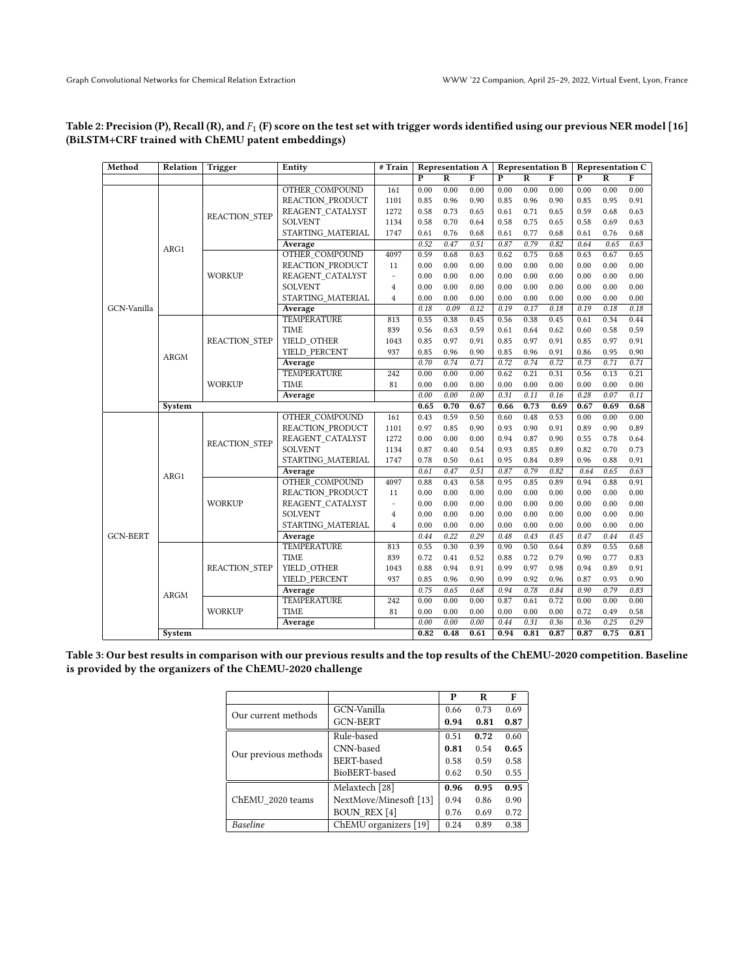# <span id="page-6-0"></span>Table 2: Precision (P), Recall (R), and  $F_1$  (F) score on the test set with trigger words identified using our previous NER model [\[16\]](#page-8-26) (BiLSTM+CRF trained with ChEMU patent embeddings)

| Method          | Relation    | Trigger              | <b>Representation A</b><br># Train<br>Entity |                          |              | <b>Representation B</b> |                |             | <b>Representation C</b> |                |                         |                |      |
|-----------------|-------------|----------------------|----------------------------------------------|--------------------------|--------------|-------------------------|----------------|-------------|-------------------------|----------------|-------------------------|----------------|------|
|                 |             |                      |                                              | $\overline{P}$           | $\mathbf R$  | $\overline{F}$          | $\overline{P}$ | $\mathbf R$ | $\overline{F}$          | $\overline{P}$ | $\overline{\mathbf{R}}$ | $\overline{F}$ |      |
|                 |             |                      | OTHER COMPOUND                               | 161                      | 0.00         | 0.00                    | 0.00           | 0.00        | 0.00                    | 0.00           | 0.00                    | 0.00           | 0.00 |
|                 |             |                      | REACTION PRODUCT                             | 1101                     | 0.85         | 0.96                    | 0.90           | 0.85        | 0.96                    | 0.90           | 0.85                    | 0.95           | 0.91 |
|                 |             | <b>REACTION STEP</b> | REAGENT CATALYST                             | 1272                     | 0.58         | 0.73                    | 0.65           | 0.61        | 0.71                    | 0.65           | 0.59                    | 0.68           | 0.63 |
|                 |             |                      | <b>SOLVENT</b>                               | 1134                     | 0.58         | 0.70                    | 0.64           | 0.58        | 0.75                    | 0.65           | 0.58                    | 0.69           | 0.63 |
|                 |             |                      | STARTING MATERIAL                            | 1747                     | 0.61         | 0.76                    | 0.68           | 0.61        | 0.77                    | 0.68           | 0.61                    | 0.76           | 0.68 |
|                 | ARG1        |                      | Average                                      |                          | 0.52         | 0.47                    | 0.51           | 0.87        | 0.79                    | 0.82           | 0.64                    | 0.65           | 0.63 |
|                 |             |                      | <b>OTHER COMPOUND</b>                        | 4097                     | 0.59         | 0.68                    | 0.63           | 0.62        | 0.75                    | 0.68           | 0.63                    | 0.67           | 0.65 |
|                 |             |                      | REACTION PRODUCT                             | 11                       | 0.00         | 0.00                    | 0.00           | 0.00        | 0.00                    | 0.00           | 0.00                    | 0.00           | 0.00 |
|                 |             | WORKUP               | REAGENT CATALYST                             | $\overline{\phantom{a}}$ | 0.00         | 0.00                    | 0.00           | 0.00        | 0.00                    | 0.00           | 0.00                    | 0.00           | 0.00 |
|                 |             |                      | SOLVENT                                      | $\overline{4}$           | 0.00         | 0.00                    | 0.00           | 0.00        | 0.00                    | 0.00           | 0.00                    | 0.00           | 0.00 |
|                 |             |                      | STARTING MATERIAL                            | $\overline{4}$           | 0.00         | 0.00                    | 0.00           | 0.00        | 0.00                    | 0.00           | 0.00                    | 0.00           | 0.00 |
| GCN-Vanilla     |             |                      | Average                                      |                          | 0.18         | 0.09                    | 0.12           | 0.19        | 0.17                    | 0.18           | 0.19                    | 0.18           | 0.18 |
|                 |             |                      | <b>TEMPERATURE</b>                           | 813                      | 0.55         | 0.38                    | 0.45           | 0.56        | 0.38                    | 0.45           | 0.61                    | 0.34           | 0.44 |
|                 |             |                      | <b>TIME</b>                                  | 839                      | 0.56         | 0.63                    | 0.59           | 0.61        | 0.64                    | 0.62           | 0.60                    | 0.58           | 0.59 |
|                 |             | <b>REACTION STEP</b> | YIELD OTHER                                  | 1043                     | 0.85         | 0.97                    | 0.91           | 0.85        | 0.97                    | 0.91           | 0.85                    | 0.97           | 0.91 |
|                 | ARGM        |                      | YIELD PERCENT                                | 937                      | 0.85         | 0.96                    | 0.90           | 0.85        | 0.96                    | 0.91           | 0.86                    | 0.95           | 0.90 |
|                 |             |                      | Average                                      |                          | 0.70         | 0.74                    | 0.71           | 0.72        | 0.74                    | 0.72           | 0.73                    | 0.71           | 0.71 |
|                 |             | <b>WORKUP</b>        | <b>TEMPERATURE</b>                           | 242                      | 0.00         | 0.00                    | 0.00           | 0.62        | 0.21                    | 0.31           | 0.56                    | 0.13           | 0.21 |
|                 |             |                      | <b>TIME</b>                                  | 81                       | 0.00         | 0.00                    | 0.00           | 0.00        | 0.00                    | 0.00           | 0.00                    | 0.00           | 0.00 |
|                 |             |                      | Average                                      |                          | 0.00         | 0.00                    | 0.00           | 0.31        | 0.11                    | 0.16           | 0.28                    | 0.07           | 0.11 |
|                 | System      |                      |                                              |                          |              | 0.70                    | 0.67           | 0.66        | 0.73                    | 0.69           | 0.67                    | 0.69           | 0.68 |
|                 |             |                      | OTHER COMPOUND                               | 161                      | 0.43         | 0.59                    | 0.50           | 0.60        | 0.48                    | 0.53           | 0.00                    | 0.00           | 0.00 |
|                 |             | <b>REACTION STEP</b> | REACTION PRODUCT                             | 1101                     | 0.97         | 0.85                    | 0.90           | 0.93        | 0.90                    | 0.91           | 0.89                    | 0.90           | 0.89 |
|                 |             |                      | REAGENT CATALYST                             | 1272                     | 0.00         | 0.00                    | 0.00           | 0.94        | 0.87                    | 0.90           | 0.55                    | 0.78           | 0.64 |
|                 |             |                      | SOLVENT                                      | 1134                     | 0.87         | 0.40                    | 0.54           | 0.93        | 0.85                    | 0.89           | 0.82                    | 0.70           | 0.73 |
|                 |             |                      | STARTING MATERIAL                            | 1747                     | 0.78         | 0.50                    | 0.61           | 0.95        | 0.84                    | 0.89           | 0.96                    | 0.88           | 0.91 |
|                 | ARG1        |                      | Average                                      |                          | 0.61         | 0.47                    | 0.51           | 0.87        | 0.79                    | 0.82           | 0.64                    | 0.65           | 0.63 |
|                 |             | WORKUP               | OTHER COMPOUND                               | 4097                     | 0.88         | 0.43                    | 0.58           | 0.95        | 0.85                    | 0.89           | 0.94                    | 0.88           | 0.91 |
|                 |             |                      | REACTION PRODUCT                             | 11                       | 0.00         | 0.00                    | 0.00           | 0.00        | 0.00                    | 0.00           | 0.00                    | 0.00           | 0.00 |
|                 |             |                      | REAGENT CATALYST                             | $\overline{\phantom{a}}$ | 0.00         | 0.00                    | 0.00           | 0.00        | 0.00                    | 0.00           | 0.00                    | 0.00           | 0.00 |
|                 |             |                      | SOLVENT                                      | $\overline{4}$           | 0.00         | 0.00                    | 0.00           | 0.00        | 0.00                    | 0.00           | 0.00                    | 0.00           | 0.00 |
|                 |             |                      | STARTING MATERIAL                            | $\overline{4}$           | 0.00         | 0.00                    | 0.00           | 0.00        | 0.00                    | 0.00           | 0.00                    | 0.00           | 0.00 |
| <b>GCN-BERT</b> |             |                      | Average                                      |                          | 0.44         | 0.22                    | 0.29           | 0.48        | 0.43                    | 0.45           | 0.47                    | 0.44           | 0.45 |
|                 |             | <b>REACTION STEP</b> | TEMPERATURE                                  | 813                      | 0.55         | 0.30                    | 0.39           | 0.90        | 0.50                    | 0.64           | 0.89                    | 0.55           | 0.68 |
|                 | <b>ARGM</b> |                      | <b>TIME</b>                                  | 839                      | 0.72         | 0.41                    | 0.52           | 0.88        | 0.72                    | 0.79           | 0.90                    | 0.77           | 0.83 |
|                 |             |                      | YIELD OTHER                                  | 1043                     | 0.88         | 0.94                    | 0.91           | 0.99        | 0.97                    | 0.98           | 0.94                    | 0.89           | 0.91 |
|                 |             |                      | YIELD PERCENT                                | 937                      | 0.85         | 0.96                    | 0.90           | 0.99        | 0.92                    | 0.96           | 0.87                    | 0.93           | 0.90 |
|                 |             |                      | Average                                      |                          | 0.75         | 0.65                    | 0.68           | 0.94        | 0.78                    | 0.84           | 0.90                    | 0.79           | 0.83 |
|                 |             | <b>WORKUP</b>        | <b>TEMPERATURE</b>                           | 242                      | 0.00         | 0.00                    | 0.00           | 0.87        | 0.61                    | 0.72           | 0.00                    | 0.00           | 0.00 |
|                 |             |                      | <b>TIME</b>                                  | 81                       | 0.00         | 0.00                    | 0.00           | 0.00        | 0.00                    | 0.00           | 0.72                    | 0.49           | 0.58 |
|                 |             |                      | Average                                      |                          | 0.00<br>0.82 | 0.00                    | 0.00           | 0.44        | 0.31                    | 0.36           | 0.36                    | 0.25           | 0.29 |
|                 | System      |                      |                                              |                          |              | 0.48                    | 0.61           | 0.94        | 0.81                    | 0.87           | 0.87                    | 0.75           | 0.81 |

<span id="page-6-1"></span>Table 3: Our best results in comparison with our previous results and the top results of the ChEMU-2020 competition. Baseline is provided by the organizers of the ChEMU-2020 challenge

|                      |                           | Р    | R    | F    |
|----------------------|---------------------------|------|------|------|
| Our current methods  | GCN-Vanilla               | 0.66 | 0.73 | 0.69 |
|                      | <b>GCN-BERT</b>           | 0.94 | 0.81 | 0.87 |
|                      | Rule-based                | 0.51 | 0.72 | 0.60 |
| Our previous methods | CNN-based                 | 0.81 | 0.54 | 0.65 |
|                      | BERT-based                | 0.58 | 0.59 | 0.58 |
|                      | BioBERT-based             | 0.62 | 0.50 | 0.55 |
|                      | Melaxtech <sup>[28]</sup> | 0.96 | 0.95 | 0.95 |
| ChEMU 2020 teams     | NextMove/Minesoft [13]    | 0.94 | 0.86 | 0.90 |
|                      | <b>BOUN REX [4]</b>       | 0.76 | 0.69 | 0.72 |
| Baseline             | ChEMU organizers [19]     | 0.24 | 0.89 | 0.38 |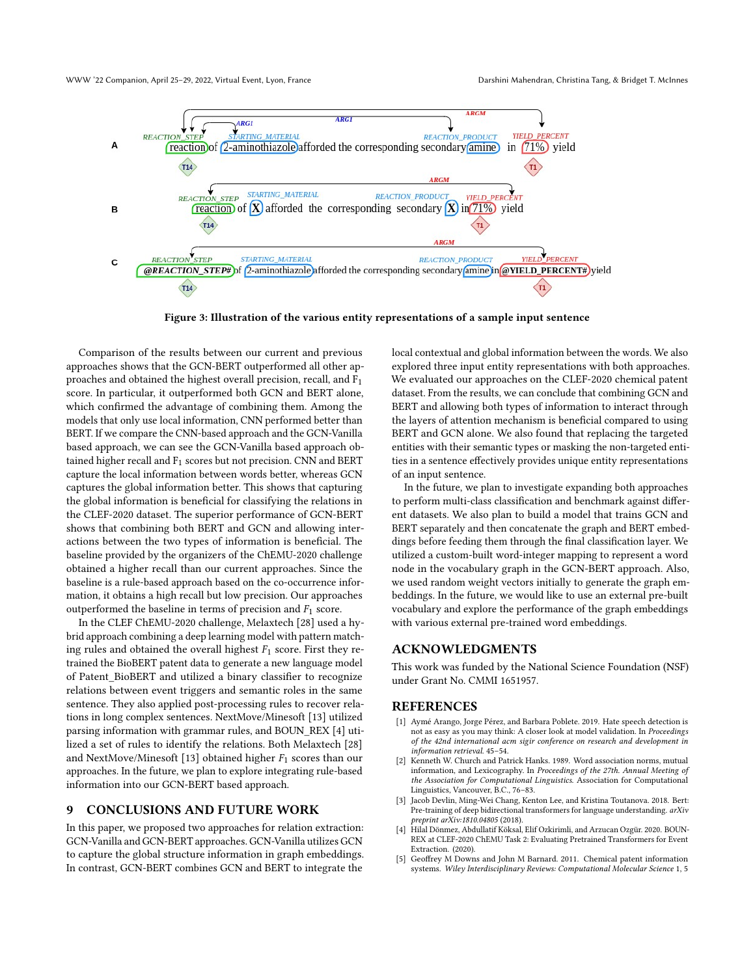<span id="page-7-4"></span>

Figure 3: Illustration of the various entity representations of a sample input sentence

Comparison of the results between our current and previous approaches shows that the GCN-BERT outperformed all other approaches and obtained the highest overall precision, recall, and F1 score. In particular, it outperformed both GCN and BERT alone, which confirmed the advantage of combining them. Among the models that only use local information, CNN performed better than BERT. If we compare the CNN-based approach and the GCN-Vanilla based approach, we can see the GCN-Vanilla based approach obtained higher recall and  $F_1$  scores but not precision. CNN and BERT capture the local information between words better, whereas GCN captures the global information better. This shows that capturing the global information is beneficial for classifying the relations in the CLEF-2020 dataset. The superior performance of GCN-BERT shows that combining both BERT and GCN and allowing interactions between the two types of information is beneficial. The baseline provided by the organizers of the ChEMU-2020 challenge obtained a higher recall than our current approaches. Since the baseline is a rule-based approach based on the co-occurrence information, it obtains a high recall but low precision. Our approaches outperformed the baseline in terms of precision and  $F_1$  score.

In the CLEF ChEMU-2020 challenge, Melaxtech [\[28\]](#page-8-27) used a hybrid approach combining a deep learning model with pattern matching rules and obtained the overall highest  $F_1$  score. First they retrained the BioBERT patent data to generate a new language model of Patent\_BioBERT and utilized a binary classifier to recognize relations between event triggers and semantic roles in the same sentence. They also applied post-processing rules to recover relations in long complex sentences. NextMove/Minesoft [\[13\]](#page-8-28) utilized parsing information with grammar rules, and BOUN\_REX [\[4\]](#page-7-5) utilized a set of rules to identify the relations. Both Melaxtech [\[28\]](#page-8-27) and NextMove/Minesoft [\[13\]](#page-8-28) obtained higher  $F_1$  scores than our approaches. In the future, we plan to explore integrating rule-based information into our GCN-BERT based approach.

#### 9 CONCLUSIONS AND FUTURE WORK

In this paper, we proposed two approaches for relation extraction: GCN-Vanilla and GCN-BERT approaches. GCN-Vanilla utilizes GCN to capture the global structure information in graph embeddings. In contrast, GCN-BERT combines GCN and BERT to integrate the

local contextual and global information between the words. We also explored three input entity representations with both approaches. We evaluated our approaches on the CLEF-2020 chemical patent dataset. From the results, we can conclude that combining GCN and BERT and allowing both types of information to interact through the layers of attention mechanism is beneficial compared to using BERT and GCN alone. We also found that replacing the targeted entities with their semantic types or masking the non-targeted entities in a sentence effectively provides unique entity representations of an input sentence.

In the future, we plan to investigate expanding both approaches to perform multi-class classification and benchmark against different datasets. We also plan to build a model that trains GCN and BERT separately and then concatenate the graph and BERT embeddings before feeding them through the final classification layer. We utilized a custom-built word-integer mapping to represent a word node in the vocabulary graph in the GCN-BERT approach. Also, we used random weight vectors initially to generate the graph embeddings. In the future, we would like to use an external pre-built vocabulary and explore the performance of the graph embeddings with various external pre-trained word embeddings.

# ACKNOWLEDGMENTS

This work was funded by the National Science Foundation (NSF) under Grant No. CMMI 1651957.

#### REFERENCES

- <span id="page-7-2"></span>[1] Aymé Arango, Jorge Pérez, and Barbara Poblete. 2019. Hate speech detection is not as easy as you may think: A closer look at model validation. In Proceedings of the 42nd international acm sigir conference on research and development in information retrieval. 45–54.
- <span id="page-7-3"></span>[2] Kenneth W. Church and Patrick Hanks. 1989. Word association norms, mutual information, and Lexicography. In Proceedings of the 27th. Annual Meeting of the Association for Computational Linguistics. Association for Computational Linguistics, Vancouver, B.C., 76–83.
- <span id="page-7-1"></span>[3] Jacob Devlin, Ming-Wei Chang, Kenton Lee, and Kristina Toutanova. 2018. Bert: Pre-training of deep bidirectional transformers for language understanding. arXiv preprint arXiv:1810.04805 (2018).
- <span id="page-7-5"></span>[4] Hilal Dönmez, Abdullatif Köksal, Elif Ozkirimli, and Arzucan Ozgür. 2020. BOUN-REX at CLEF-2020 ChEMU Task 2: Evaluating Pretrained Transformers for Event Extraction. (2020).
- <span id="page-7-0"></span>[5] Geoffrey M Downs and John M Barnard. 2011. Chemical patent information systems. Wiley Interdisciplinary Reviews: Computational Molecular Science 1, 5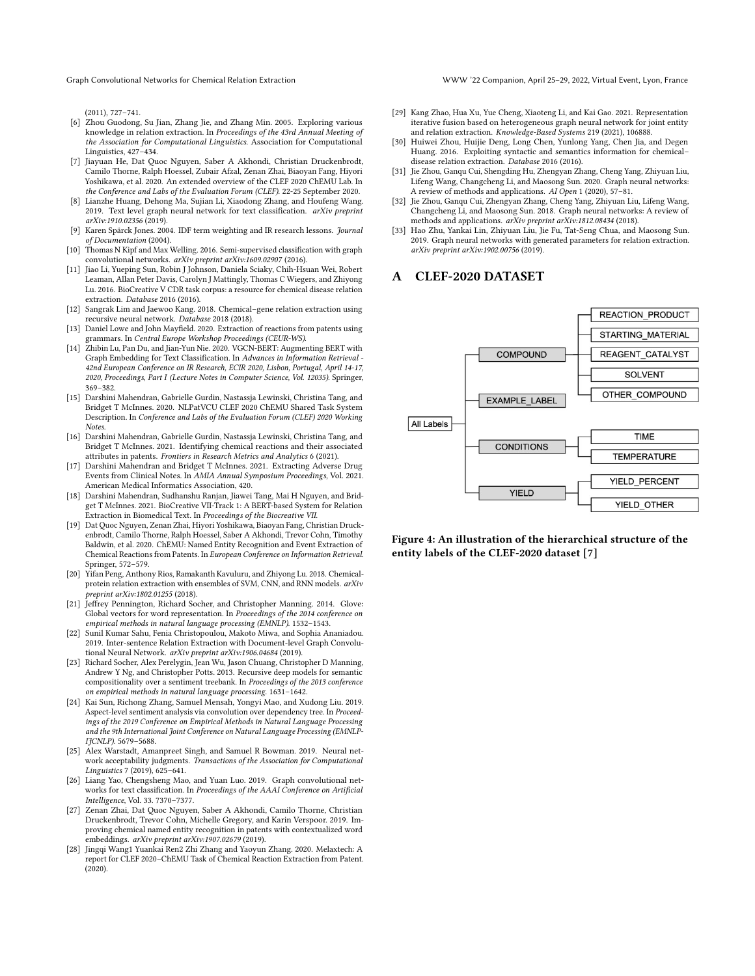#### Graph Convolutional Networks for Chemical Relation Extraction WWW '22 Companion, April 25–29, 2022, Virtual Event, Lyon, France

(2011), 727–741.

- <span id="page-8-22"></span>[6] Zhou Guodong, Su Jian, Zhang Jie, and Zhang Min. 2005. Exploring various knowledge in relation extraction. In Proceedings of the 43rd Annual Meeting of the Association for Computational Linguistics. Association for Computational Linguistics, 427–434.
- <span id="page-8-18"></span>[7] Jiayuan He, Dat Quoc Nguyen, Saber A Akhondi, Christian Druckenbrodt, Camilo Thorne, Ralph Hoessel, Zubair Afzal, Zenan Zhai, Biaoyan Fang, Hiyori Yoshikawa, et al. 2020. An extended overview of the CLEF 2020 ChEMU Lab. In the Conference and Labs of the Evaluation Forum (CLEF). 22-25 September 2020.
- <span id="page-8-16"></span>[8] Lianzhe Huang, Dehong Ma, Sujian Li, Xiaodong Zhang, and Houfeng Wang. 2019. Text level graph neural network for text classification. arXiv preprint arXiv:1910.02356 (2019).
- <span id="page-8-21"></span>[9] Karen Spärck Jones. 2004. IDF term weighting and IR research lessons. Journal of Documentation (2004).
- <span id="page-8-6"></span>[10] Thomas N Kipf and Max Welling. 2016. Semi-supervised classification with graph convolutional networks. arXiv preprint arXiv:1609.02907 (2016).
- <span id="page-8-1"></span>[11] Jiao Li, Yueping Sun, Robin J Johnson, Daniela Sciaky, Chih-Hsuan Wei, Robert Leaman, Allan Peter Davis, Carolyn J Mattingly, Thomas C Wiegers, and Zhiyong Lu. 2016. BioCreative V CDR task corpus: a resource for chemical disease relation extraction. Database 2016 (2016).
- <span id="page-8-0"></span>[12] Sangrak Lim and Jaewoo Kang. 2018. Chemical–gene relation extraction using recursive neural network. Database 2018 (2018).
- <span id="page-8-28"></span>[13] Daniel Lowe and John Mayfield. 2020. Extraction of reactions from patents using grammars. In Central Europe Workshop Proceedings (CEUR-WS).
- <span id="page-8-4"></span>[14] Zhibin Lu, Pan Du, and Jian-Yun Nie. 2020. VGCN-BERT: Augmenting BERT with Graph Embedding for Text Classification. In Advances in Information Retrieval - 42nd European Conference on IR Research, ECIR 2020, Lisbon, Portugal, April 14-17, 2020, Proceedings, Part I (Lecture Notes in Computer Science, Vol. 12035). Springer, 369–382.
- <span id="page-8-20"></span>[15] Darshini Mahendran, Gabrielle Gurdin, Nastassja Lewinski, Christina Tang, and Bridget T McInnes. 2020. NLPatVCU CLEF 2020 ChEMU Shared Task System Description. In Conference and Labs of the Evaluation Forum (CLEF) 2020 Working Notes.
- <span id="page-8-26"></span>[16] Darshini Mahendran, Gabrielle Gurdin, Nastassja Lewinski, Christina Tang, and Bridget T McInnes. 2021. Identifying chemical reactions and their associated attributes in patents. Frontiers in Research Metrics and Analytics 6 (2021).
- <span id="page-8-23"></span>[17] Darshini Mahendran and Bridget T McInnes. 2021. Extracting Adverse Drug Events from Clinical Notes. In AMIA Annual Symposium Proceedings, Vol. 2021. American Medical Informatics Association, 420.
- <span id="page-8-24"></span>[18] Darshini Mahendran, Sudhanshu Ranjan, Jiawei Tang, Mai H Nguyen, and Bridget T McInnes. 2021. BioCreative VII-Track 1: A BERT-based System for Relation Extraction in Biomedical Text. In Proceedings of the Biocreative VII.
- <span id="page-8-10"></span>[19] Dat Quoc Nguyen, Zenan Zhai, Hiyori Yoshikawa, Biaoyan Fang, Christian Druckenbrodt, Camilo Thorne, Ralph Hoessel, Saber A Akhondi, Trevor Cohn, Timothy Baldwin, et al. 2020. ChEMU: Named Entity Recognition and Event Extraction of Chemical Reactions from Patents. In European Conference on Information Retrieval. Springer, 572–579.
- <span id="page-8-3"></span>[20] Yifan Peng, Anthony Rios, Ramakanth Kavuluru, and Zhiyong Lu. 2018. Chemicalprotein relation extraction with ensembles of SVM, CNN, and RNN models. arXiv reprint arXiv:1802.01255 (2018).
- <span id="page-8-25"></span>[21] Jeffrey Pennington, Richard Socher, and Christopher Manning. 2014. Glove: Global vectors for word representation. In Proceedings of the 2014 conference on empirical methods in natural language processing (EMNLP). 1532–1543.
- <span id="page-8-15"></span>[22] Sunil Kumar Sahu, Fenia Christopoulou, Makoto Miwa, and Sophia Ananiadou. 2019. Inter-sentence Relation Extraction with Document-level Graph Convolutional Neural Network. arXiv preprint arXiv:1906.04684 (2019).
- <span id="page-8-12"></span>[23] Richard Socher, Alex Perelygin, Jean Wu, Jason Chuang, Christopher D Manning, Andrew Y Ng, and Christopher Potts. 2013. Recursive deep models for semantic compositionality over a sentiment treebank. In Proceedings of the 2013 conference on empirical methods in natural language processing. 1631–1642.
- <span id="page-8-9"></span>[24] Kai Sun, Richong Zhang, Samuel Mensah, Yongyi Mao, and Xudong Liu. 2019. Aspect-level sentiment analysis via convolution over dependency tree. In Proceedings of the 2019 Conference on Empirical Methods in Natural Language Processing and the 9th International Joint Conference on Natural Language Processing (EMNLP-IJCNLP). 5679-5688.
- <span id="page-8-13"></span>[25] Alex Warstadt, Amanpreet Singh, and Samuel R Bowman. 2019. Neural network acceptability judgments. Transactions of the Association for Computational Linguistics 7 (2019), 625–641.
- <span id="page-8-7"></span>[26] Liang Yao, Chengsheng Mao, and Yuan Luo. 2019. Graph convolutional networks for text classification. In Proceedings of the AAAI Conference on Artificial Intelligence, Vol. 33. 7370–7377.
- <span id="page-8-17"></span>[27] Zenan Zhai, Dat Quoc Nguyen, Saber A Akhondi, Camilo Thorne, Christian Druckenbrodt, Trevor Cohn, Michelle Gregory, and Karin Verspoor. 2019. Improving chemical named entity recognition in patents with contextualized word embeddings. arXiv preprint arXiv:1907.02679 (2019).
- <span id="page-8-27"></span>[28] Jingqi Wang1 Yuankai Ren2 Zhi Zhang and Yaoyun Zhang. 2020. Melaxtech: A report for CLEF 2020–ChEMU Task of Chemical Reaction Extraction from Patent.  $(2020)$ .
- <span id="page-8-14"></span>[29] Kang Zhao, Hua Xu, Yue Cheng, Xiaoteng Li, and Kai Gao. 2021. Representation iterative fusion based on heterogeneous graph neural network for joint entity and relation extraction. Knowledge-Based Systems 219 (2021), 106888.
- <span id="page-8-2"></span>[30] Huiwei Zhou, Huijie Deng, Long Chen, Yunlong Yang, Chen Jia, and Degen Huang. 2016. Exploiting syntactic and semantics information for chemical– disease relation extraction. Database 2016 (2016).
- <span id="page-8-5"></span>[31] Jie Zhou, Ganqu Cui, Shengding Hu, Zhengyan Zhang, Cheng Yang, Zhiyuan Liu, Lifeng Wang, Changcheng Li, and Maosong Sun. 2020. Graph neural networks: A review of methods and applications. AI Open 1 (2020), 57–81.
- <span id="page-8-11"></span>[32] Jie Zhou, Ganqu Cui, Zhengyan Zhang, Cheng Yang, Zhiyuan Liu, Lifeng Wang, Changcheng Li, and Maosong Sun. 2018. Graph neural networks: A review of methods and applications. arXiv preprint arXiv:1812.08434 (2018).
- <span id="page-8-8"></span>[33] Hao Zhu, Yankai Lin, Zhiyuan Liu, Jie Fu, Tat-Seng Chua, and Maosong Sun. 2019. Graph neural networks with generated parameters for relation extraction. arXiv preprint arXiv:1902.00756 (2019).

# <span id="page-8-19"></span>A CLEF-2020 DATASET



Figure 4: An illustration of the hierarchical structure of the entity labels of the CLEF-2020 dataset [\[7\]](#page-8-18)